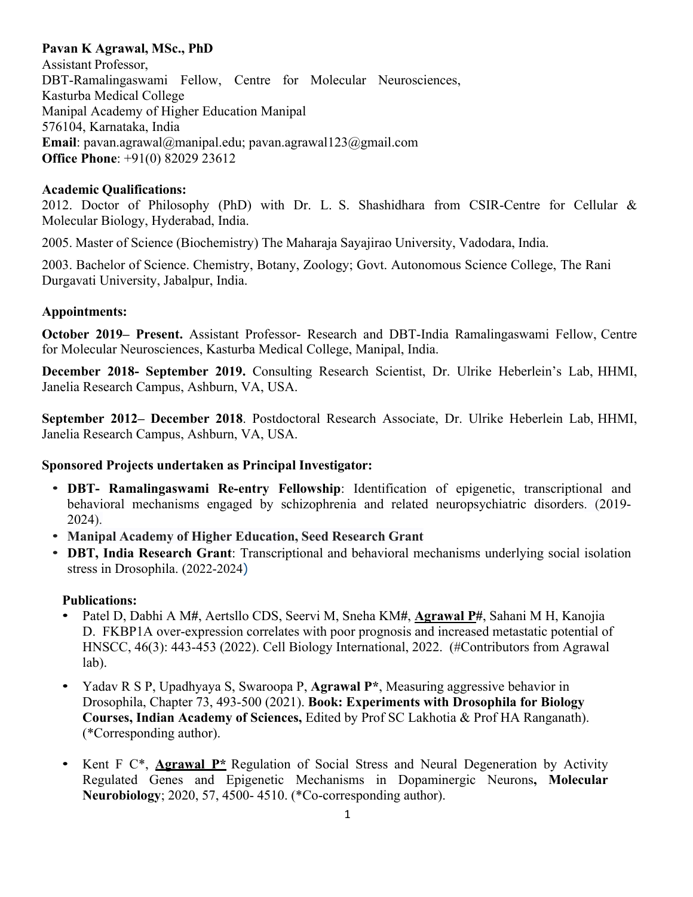# **Pavan K Agrawal, MSc., PhD**

Assistant Professor, DBT-Ramalingaswami Fellow, Centre for Molecular Neurosciences, Kasturba Medical College Manipal Academy of Higher Education Manipal 576104, Karnataka, India **Email**: pavan.agrawal@manipal.edu; pavan.agrawal123@gmail.com **Office Phone**: +91(0) 82029 23612

### **Academic Qualifications:**

2012. Doctor of Philosophy (PhD) with Dr. L. S. Shashidhara from CSIR-Centre for Cellular & Molecular Biology, Hyderabad, India.

2005. Master of Science (Biochemistry) The Maharaja Sayajirao University, Vadodara, India.

2003. Bachelor of Science. Chemistry, Botany, Zoology; Govt. Autonomous Science College, The Rani Durgavati University, Jabalpur, India.

## **Appointments:**

**October 2019– Present.** Assistant Professor- Research and DBT-India Ramalingaswami Fellow, Centre for Molecular Neurosciences, Kasturba Medical College, Manipal, India.

**December 2018- September 2019.** Consulting Research Scientist, Dr. Ulrike Heberlein's Lab, HHMI, Janelia Research Campus, Ashburn, VA, USA.

**September 2012– December 2018**. Postdoctoral Research Associate, Dr. Ulrike Heberlein Lab, HHMI, Janelia Research Campus, Ashburn, VA, USA.

#### **Sponsored Projects undertaken as Principal Investigator:**

- **DBT- Ramalingaswami Re-entry Fellowship**: Identification of epigenetic, transcriptional and behavioral mechanisms engaged by schizophrenia and related neuropsychiatric disorders. (2019- 2024).
- **Manipal Academy of Higher Education, Seed Research Grant**
- **DBT, India Research Grant**: Transcriptional and behavioral mechanisms underlying social isolation stress in Drosophila. (2022-2024)

#### **Publications:**

- Patel D, Dabhi A M**#**, Aertsllo CDS, Seervi M, Sneha KM**#**, **Agrawal P#**, Sahani M H, Kanojia D. FKBP1A over-expression correlates with poor prognosis and increased metastatic potential of HNSCC, 46(3): 443-453 (2022). Cell Biology International, 2022. (#Contributors from Agrawal lab).
- Yadav R S P, Upadhyaya S, Swaroopa P, **Agrawal P\***, Measuring aggressive behavior in Drosophila, Chapter 73, 493-500 (2021). **Book: Experiments with Drosophila for Biology Courses, Indian Academy of Sciences,** Edited by Prof SC Lakhotia & Prof HA Ranganath). (\*Corresponding author).
- Kent F C\*, **Agrawal P\*** Regulation of Social Stress and Neural Degeneration by Activity Regulated Genes and Epigenetic Mechanisms in Dopaminergic Neurons**, Molecular Neurobiology**; 2020, 57, 4500- 4510. (\*Co-corresponding author).